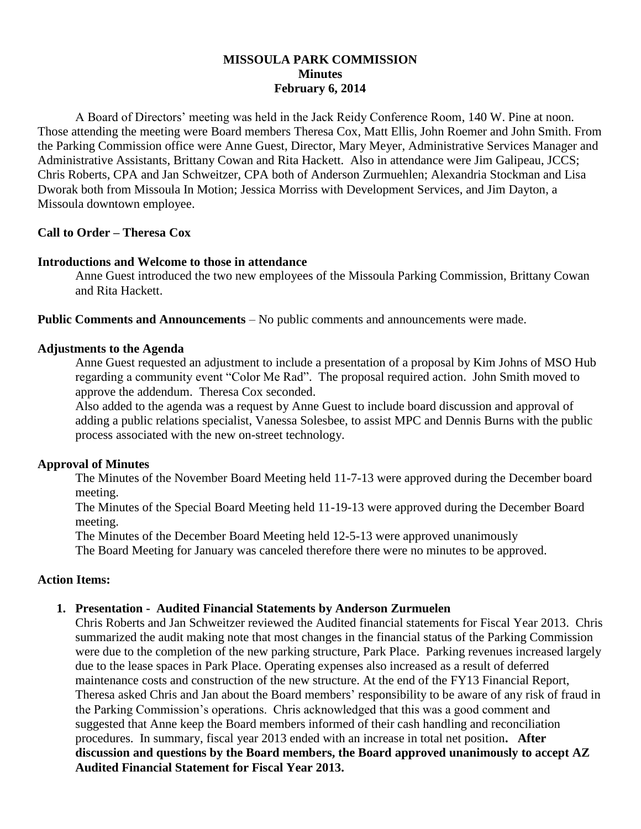## **MISSOULA PARK COMMISSION Minutes February 6, 2014**

A Board of Directors' meeting was held in the Jack Reidy Conference Room, 140 W. Pine at noon. Those attending the meeting were Board members Theresa Cox, Matt Ellis, John Roemer and John Smith. From the Parking Commission office were Anne Guest, Director, Mary Meyer, Administrative Services Manager and Administrative Assistants, Brittany Cowan and Rita Hackett. Also in attendance were Jim Galipeau, JCCS; Chris Roberts, CPA and Jan Schweitzer, CPA both of Anderson Zurmuehlen; Alexandria Stockman and Lisa Dworak both from Missoula In Motion; Jessica Morriss with Development Services, and Jim Dayton, a Missoula downtown employee.

### **Call to Order – Theresa Cox**

## **Introductions and Welcome to those in attendance**

Anne Guest introduced the two new employees of the Missoula Parking Commission, Brittany Cowan and Rita Hackett.

**Public Comments and Announcements** – No public comments and announcements were made.

### **Adjustments to the Agenda**

Anne Guest requested an adjustment to include a presentation of a proposal by Kim Johns of MSO Hub regarding a community event "Color Me Rad". The proposal required action. John Smith moved to approve the addendum. Theresa Cox seconded.

Also added to the agenda was a request by Anne Guest to include board discussion and approval of adding a public relations specialist, Vanessa Solesbee, to assist MPC and Dennis Burns with the public process associated with the new on-street technology.

### **Approval of Minutes**

The Minutes of the November Board Meeting held 11-7-13 were approved during the December board meeting.

The Minutes of the Special Board Meeting held 11-19-13 were approved during the December Board meeting.

The Minutes of the December Board Meeting held 12-5-13 were approved unanimously

The Board Meeting for January was canceled therefore there were no minutes to be approved.

### **Action Items:**

### **1. Presentation - Audited Financial Statements by Anderson Zurmuelen**

Chris Roberts and Jan Schweitzer reviewed the Audited financial statements for Fiscal Year 2013. Chris summarized the audit making note that most changes in the financial status of the Parking Commission were due to the completion of the new parking structure, Park Place. Parking revenues increased largely due to the lease spaces in Park Place. Operating expenses also increased as a result of deferred maintenance costs and construction of the new structure. At the end of the FY13 Financial Report, Theresa asked Chris and Jan about the Board members' responsibility to be aware of any risk of fraud in the Parking Commission's operations. Chris acknowledged that this was a good comment and suggested that Anne keep the Board members informed of their cash handling and reconciliation procedures. In summary, fiscal year 2013 ended with an increase in total net position**. After discussion and questions by the Board members, the Board approved unanimously to accept AZ Audited Financial Statement for Fiscal Year 2013.**